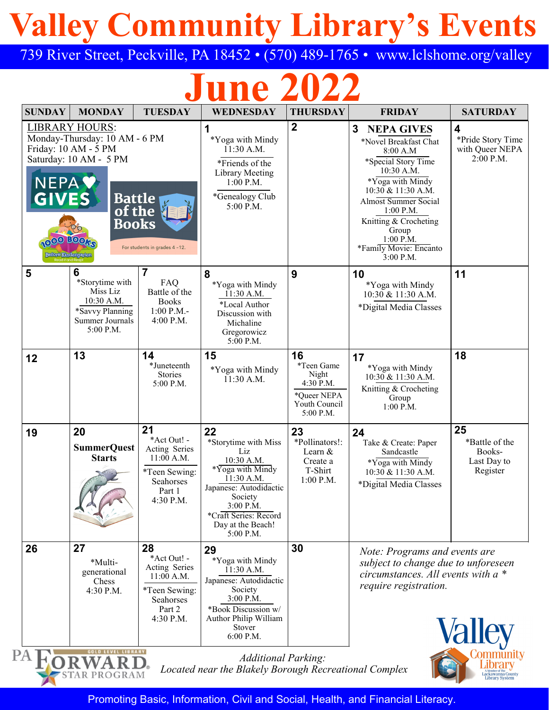# **Valley Community Library's Events**

739 River Street, Peckville, PA 18452 • (570) 489-1765 • www.lclshome.org/valley

# **June 2022**

| <b>SUNDAY</b>                                  | <b>MONDAY</b>                                                                                                                                                                     | <b>TUESDAY</b>                                                                                          | <b>WEDNESDAY</b>                                                                                                                                                                               | <b>THURSDAY</b>                                                                     | <b>FRIDAY</b>                                                                                                                                                                                                                                                                    | <b>SATURDAY</b>                                           |
|------------------------------------------------|-----------------------------------------------------------------------------------------------------------------------------------------------------------------------------------|---------------------------------------------------------------------------------------------------------|------------------------------------------------------------------------------------------------------------------------------------------------------------------------------------------------|-------------------------------------------------------------------------------------|----------------------------------------------------------------------------------------------------------------------------------------------------------------------------------------------------------------------------------------------------------------------------------|-----------------------------------------------------------|
| NEPA <sup>V</sup><br><b>GIVES</b><br>1000 BOOM | <b>LIBRARY HOURS:</b><br>Monday-Thursday: 10 AM - 6 PM<br>Friday: 10 AM - 5 PM<br>Saturday: 10 AM - 5 PM<br><b>Battle</b><br>of the<br><b>Books</b><br><b>Before Kindergarten</b> | For students in grades 4-12.                                                                            | 1<br>*Yoga with Mindy<br>11:30 A.M.<br>*Friends of the<br>Library Meeting<br>$1:00$ P.M.<br>*Genealogy Club<br>5:00 P.M.                                                                       | $\overline{2}$                                                                      | 3<br><b>NEPA GIVES</b><br>*Novel Breakfast Chat<br>8:00 A.M<br>*Special Story Time<br>10:30 A.M.<br>*Yoga with Mindy<br>10:30 & 11:30 A.M.<br><b>Almost Summer Social</b><br>$1:00$ P.M.<br>Knitting & Crocheting<br>Group<br>$1:00$ P.M.<br>*Family Movie: Encanto<br>3:00 P.M. | 4<br>*Pride Story Time<br>with Queer NEPA<br>2:00 P.M.    |
| 5                                              | 6<br>*Storytime with<br>Miss Liz<br>10:30 A.M.<br>*Savvy Planning<br>Summer Journals<br>5:00 P.M.                                                                                 | 7<br>FAQ<br>Battle of the<br><b>Books</b><br>$1:00$ P.M.-<br>$4:00$ P.M.                                | 8<br>*Yoga with Mindy<br>11:30 A.M.<br>*Local Author<br>Discussion with<br>Michaline<br>Gregorowicz<br>$5:00$ P.M.                                                                             | 9                                                                                   | 10<br>*Yoga with Mindy<br>$10:30 \& 11:30 A.M.$<br>*Digital Media Classes                                                                                                                                                                                                        | 11                                                        |
| 12                                             | 13                                                                                                                                                                                | 14<br>*Juneteenth<br><b>Stories</b><br>5:00 P.M.                                                        | 15<br>*Yoga with Mindy<br>11:30 A.M.                                                                                                                                                           | 16<br>*Teen Game<br>Night<br>4:30 P.M.<br>*Queer NEPA<br>Youth Council<br>5:00 P.M. | 17<br>*Yoga with Mindy<br>$10:30 \& 11:30 A.M.$<br>Knitting & Crocheting<br>Group<br>$1:00$ P.M.                                                                                                                                                                                 | 18                                                        |
| 19                                             | 20<br><b>SummerQuest</b><br><b>Starts</b>                                                                                                                                         | 21<br>*Act Out! -<br>Acting Series<br>$11:00$ A.M.<br>*Teen Sewing:<br>Seahorses<br>Part 1<br>4:30 P.M. | 22<br>*Storytime with Miss<br>Liz<br>10:30 A.M.<br>*Yoga with Mindy<br>11:30 A.M.<br>Japanese: Autodidactic<br>Society<br>3:00 P.M.<br>*Craft Series: Record<br>Day at the Beach!<br>5:00 P.M. | 23<br>*Pollinators!:<br>Learn &<br>Create a<br>T-Shirt<br>$1:00$ P.M.               | 24<br>Take & Create: Paper<br>Sandcastle<br>*Yoga with Mindy<br>10:30 & 11:30 A.M.<br>*Digital Media Classes                                                                                                                                                                     | 25<br>*Battle of the<br>Books-<br>Last Day to<br>Register |
| 26                                             | 27<br>*Multi-<br>generational<br>Chess<br>4:30 P.M.                                                                                                                               | 28<br>*Act Out! -<br>Acting Series<br>$11:00$ A.M.<br>*Teen Sewing:<br>Seahorses<br>Part 2<br>4:30 P.M. | 29<br>*Yoga with Mindy<br>11:30 A.M.<br>Japanese: Autodidactic<br>Society<br>3:00 P.M.<br>*Book Discussion w/<br>Author Philip William<br>Stover                                               | 30                                                                                  | Note: Programs and events are<br>subject to change due to unforeseen<br>circumstances. All events with $a^*$<br>require registration.<br><b>Valley</b>                                                                                                                           |                                                           |

Promoting Basic, Information, Civil and Social, Health, and Financial Literacy.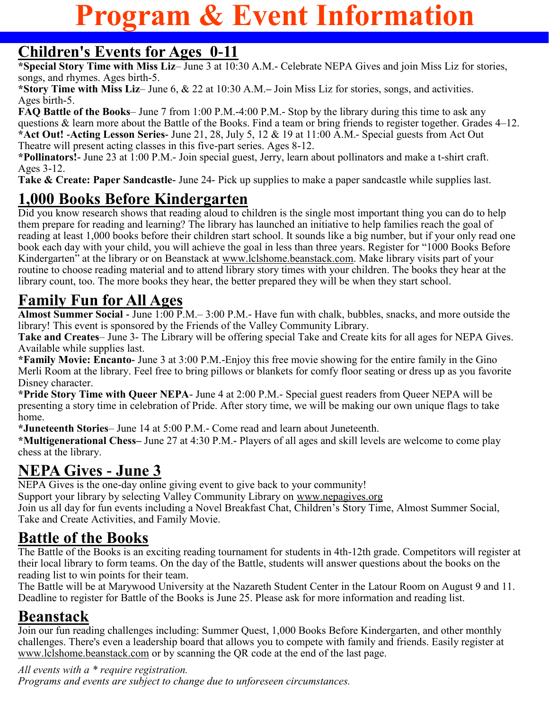## **Program & Event Information**

### **Children's Events for Ages 0-11**

**\*Special Story Time with Miss Liz**– June 3 at 10:30 A.M.- Celebrate NEPA Gives and join Miss Liz for stories, songs, and rhymes. Ages birth-5.

**\*Story Time with Miss Liz**– June 6, & 22 at 10:30 A.M.**–** Join Miss Liz for stories, songs, and activities. Ages birth-5.

**FAQ Battle of the Books**– June 7 from 1:00 P.M.-4:00 P.M.- Stop by the library during this time to ask any questions & learn more about the Battle of the Books. Find a team or bring friends to register together. Grades 4–12. **\*Act Out! -Acting Lesson Series-** June 21, 28, July 5, 12 & 19 at 11:00 A.M.- Special guests from Act Out Theatre will present acting classes in this five-part series. Ages 8-12.

**\*Pollinators!-** June 23 at 1:00 P.M.- Join special guest, Jerry, learn about pollinators and make a t-shirt craft. Ages 3-12.

**Take & Create: Paper Sandcastle-** June 24- Pick up supplies to make a paper sandcastle while supplies last.

## **1,000 Books Before Kindergarten**

Did you know research shows that reading aloud to children is the single most important thing you can do to help them prepare for reading and learning? The library has launched an initiative to help families reach the goal of reading at least 1,000 books before their children start school. It sounds like a big number, but if your only read one book each day with your child, you will achieve the goal in less than three years. Register for "1000 Books Before Kindergarten" at the library or on Beanstack at www.lclshome.beanstack.com. Make library visits part of your routine to choose reading material and to attend library story times with your children. The books they hear at the library count, too. The more books they hear, the better prepared they will be when they start school.

## **Family Fun for All Ages**

**Almost Summer Social -** June 1:00 P.M.– 3:00 P.M.- Have fun with chalk, bubbles, snacks, and more outside the library! This event is sponsored by the Friends of the Valley Community Library.

**Take and Creates**– June 3- The Library will be offering special Take and Create kits for all ages for NEPA Gives. Available while supplies last.

**\*Family Movie: Encanto-** June 3 at 3:00 P.M.-Enjoy this free movie showing for the entire family in the Gino Merli Room at the library. Feel free to bring pillows or blankets for comfy floor seating or dress up as you favorite Disney character.

**\*Pride Story Time with Queer NEPA**- June 4 at 2:00 P.M.- Special guest readers from Queer NEPA will be presenting a story time in celebration of Pride. After story time, we will be making our own unique flags to take home.

**\*Juneteenth Stories**– June 14 at 5:00 P.M.- Come read and learn about Juneteenth.

**\*Multigenerational Chess–** June 27 at 4:30 P.M.**-** Players of all ages and skill levels are welcome to come play chess at the library.

## **NEPA Gives - June 3**

NEPA Gives is the one-day online giving event to give back to your community!

Support your library by selecting Valley Community Library on www.nepagives.org

Join us all day for fun events including a Novel Breakfast Chat, Children's Story Time, Almost Summer Social, Take and Create Activities, and Family Movie.

## **Battle of the Books**

The Battle of the Books is an exciting reading tournament for students in 4th-12th grade. Competitors will register at their local library to form teams. On the day of the Battle, students will answer questions about the books on the reading list to win points for their team.

The Battle will be at Marywood University at the Nazareth Student Center in the Latour Room on August 9 and 11. Deadline to register for Battle of the Books is June 25. Please ask for more information and reading list.

## **Beanstack**

Join our fun reading challenges including: Summer Quest, 1,000 Books Before Kindergarten, and other monthly challenges. There's even a leadership board that allows you to compete with family and friends. Easily register at www.lclshome.beanstack.com or by scanning the QR code at the end of the last page.

#### *All events with a \* require registration.*

*Programs and events are subject to change due to unforeseen circumstances.*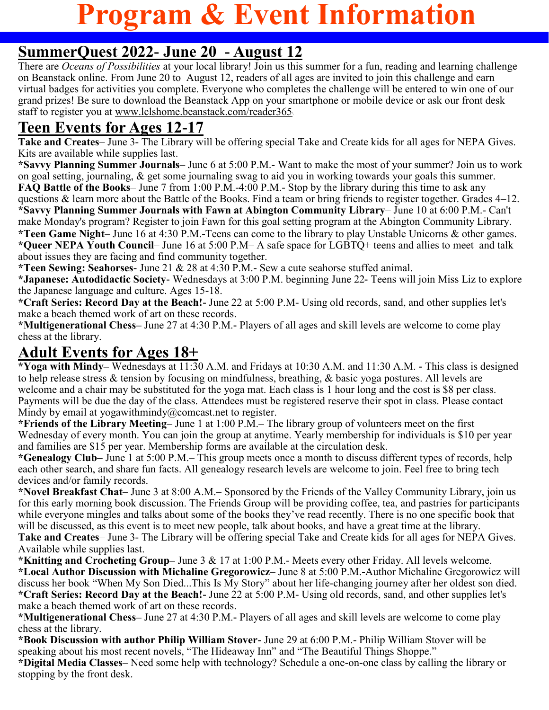## **Program & Event Information**

### **SummerQuest 2022- June 20 - August 12**

There are *Oceans of Possibilities* at your local library! Join us this summer for a fun, reading and learning challenge on Beanstack online. From June 20 to August 12, readers of all ages are invited to join this challenge and earn virtual badges for activities you complete. Everyone who completes the challenge will be entered to win one of our grand prizes! Be sure to download the Beanstack App on your smartphone or mobile device or ask our front desk staff to register you at www[.lclshome.beanstack.com/reader365](https://lclshome.beanstack.com/reader365)\

## **Teen Events for Ages 12-17**

**Take and Creates**– June 3- The Library will be offering special Take and Create kids for all ages for NEPA Gives. Kits are available while supplies last.

**\*Savvy Planning Summer Journals**– June 6 at 5:00 P.M.- Want to make the most of your summer? Join us to work on goal setting, journaling, & get some journaling swag to aid you in working towards your goals this summer. **FAQ Battle of the Books**– June 7 from 1:00 P.M.-4:00 P.M.- Stop by the library during this time to ask any questions & learn more about the Battle of the Books. Find a team or bring friends to register together. Grades 4–12. **\*Savvy Planning Summer Journals with Fawn at Abington Community Library**– June 10 at 6:00 P.M.- Can't make Monday's program? Register to join Fawn for this goal setting program at the Abington Community Library. **\*Teen Game Night**– June 16 at 4:30 P.M.-Teens can come to the library to play Unstable Unicorns & other games. **\*Queer NEPA Youth Council**– June 16 at 5:00 P.M– A safe space for LGBTQ+ teens and allies to meet and talk about issues they are facing and find community together.

**\*Teen Sewing: Seahorses**- June 21 & 28 at 4:30 P.M.- Sew a cute seahorse stuffed animal.

**\*Japanese: Autodidactic Society-** Wednesdays at 3:00 P.M. beginning June 22**-** Teens will join Miss Liz to explore the Japanese language and culture. Ages 15-18.

**\*Craft Series: Record Day at the Beach!-** June 22 at 5:00 P.M- Using old records, sand, and other supplies let's make a beach themed work of art on these records.

**\*Multigenerational Chess–** June 27 at 4:30 P.M.**-** Players of all ages and skill levels are welcome to come play chess at the library.

### **Adult Events for Ages 18+**

**\*Yoga with Mindy–** Wednesdays at 11:30 A.M. and Fridays at 10:30 A.M. and 11:30 A.M. **-** This class is designed to help release stress & tension by focusing on mindfulness, breathing, & basic yoga postures. All levels are welcome and a chair may be substituted for the yoga mat. Each class is 1 hour long and the cost is \$8 per class. Payments will be due the day of the class. Attendees must be registered reserve their spot in class. Please contact Mindy by email at yogawithmindy@comcast.net to register.

**\*Friends of the Library Meeting**– June 1 at 1:00 P.M.– The library group of volunteers meet on the first Wednesday of every month. You can join the group at anytime. Yearly membership for individuals is \$10 per year and families are \$15 per year. Membership forms are available at the circulation desk.

**\*Genealogy Club–** June 1 at 5:00 P.M.– This group meets once a month to discuss different types of records, help each other search, and share fun facts. All genealogy research levels are welcome to join. Feel free to bring tech devices and/or family records.

**\*Novel Breakfast Chat**– June 3 at 8:00 A.M.– Sponsored by the Friends of the Valley Community Library, join us for this early morning book discussion. The Friends Group will be providing coffee, tea, and pastries for participants while everyone mingles and talks about some of the books they've read recently. There is no one specific book that will be discussed, as this event is to meet new people, talk about books, and have a great time at the library. **Take and Creates**– June 3- The Library will be offering special Take and Create kids for all ages for NEPA Gives. Available while supplies last.

**\*Knitting and Crocheting Group–** June 3 & 17 at 1:00 P.M.- Meets every other Friday. All levels welcome. **\*Local Author Discussion with Michaline Gregorowicz**– June 8 at 5:00 P.M.-Author Michaline Gregorowicz will discuss her book "When My Son Died...This Is My Story" about her life-changing journey after her oldest son died. **\*Craft Series: Record Day at the Beach!-** June 22 at 5:00 P.M- Using old records, sand, and other supplies let's make a beach themed work of art on these records.

**\*Multigenerational Chess–** June 27 at 4:30 P.M.**-** Players of all ages and skill levels are welcome to come play chess at the library.

**\*Book Discussion with author Philip William Stover-** June 29 at 6:00 P.M.- Philip William Stover will be speaking about his most recent novels, "The Hideaway Inn" and "The Beautiful Things Shoppe."

**\*Digital Media Classes**– Need some help with technology? Schedule a one-on-one class by calling the library or stopping by the front desk.